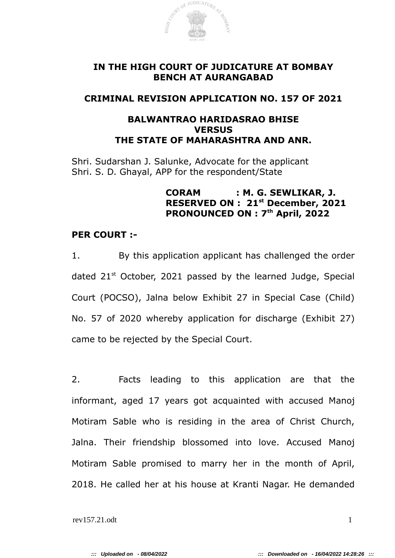

# **IN THE HIGH COURT OF JUDICATURE AT BOMBAY BENCH AT AURANGABAD**

## **CRIMINAL REVISION APPLICATION NO. 157 OF 2021**

# **BALWANTRAO HARIDASRAO BHISE VERSUS THE STATE OF MAHARASHTRA AND ANR.**

Shri. Sudarshan J. Salunke, Advocate for the applicant Shri. S. D. Ghayal, APP for the respondent/State

## **CORAM : M. G. SEWLIKAR, J. RESERVED ON : 21st December, 2021 PRONOUNCED ON : 7th April, 2022**

### **PER COURT :-**

1. By this application applicant has challenged the order dated  $21<sup>st</sup>$  October, 2021 passed by the learned Judge, Special Court (POCSO), Jalna below Exhibit 27 in Special Case (Child) No. 57 of 2020 whereby application for discharge (Exhibit 27) came to be rejected by the Special Court.

2. Facts leading to this application are that the informant, aged 17 years got acquainted with accused Manoj Motiram Sable who is residing in the area of Christ Church, Jalna. Their friendship blossomed into love. Accused Manoj Motiram Sable promised to marry her in the month of April, 2018. He called her at his house at Kranti Nagar. He demanded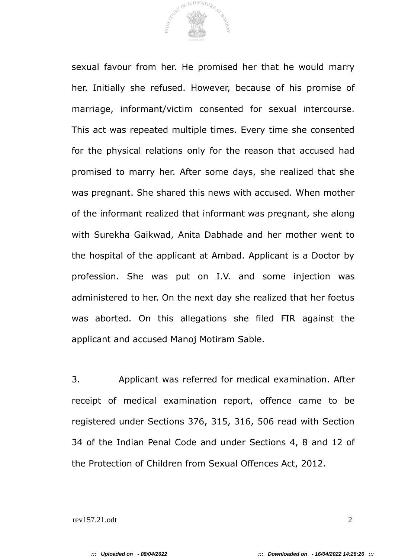

sexual favour from her. He promised her that he would marry her. Initially she refused. However, because of his promise of marriage, informant/victim consented for sexual intercourse. This act was repeated multiple times. Every time she consented for the physical relations only for the reason that accused had promised to marry her. After some days, she realized that she was pregnant. She shared this news with accused. When mother of the informant realized that informant was pregnant, she along with Surekha Gaikwad, Anita Dabhade and her mother went to the hospital of the applicant at Ambad. Applicant is a Doctor by profession. She was put on I.V. and some injection was administered to her. On the next day she realized that her foetus was aborted. On this allegations she filed FIR against the applicant and accused Manoj Motiram Sable.

3. Applicant was referred for medical examination. After receipt of medical examination report, offence came to be registered under Sections 376, 315, 316, 506 read with Section 34 of the Indian Penal Code and under Sections 4, 8 and 12 of the Protection of Children from Sexual Offences Act, 2012.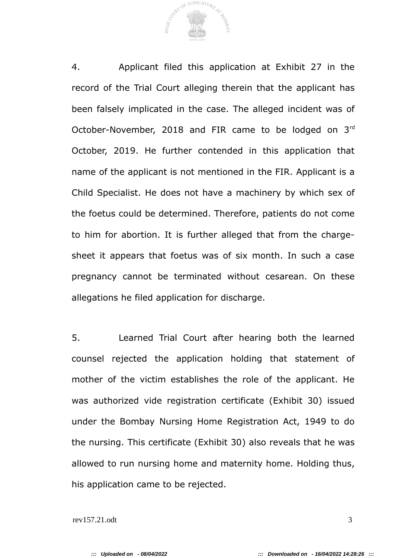OF JUDICATURE  $_{\rm H1GH}$   $_{\rm \cap}$ 

4. Applicant filed this application at Exhibit 27 in the record of the Trial Court alleging therein that the applicant has been falsely implicated in the case. The alleged incident was of October-November, 2018 and FIR came to be lodged on 3rd October, 2019. He further contended in this application that name of the applicant is not mentioned in the FIR. Applicant is a Child Specialist. He does not have a machinery by which sex of the foetus could be determined. Therefore, patients do not come to him for abortion. It is further alleged that from the chargesheet it appears that foetus was of six month. In such a case pregnancy cannot be terminated without cesarean. On these allegations he filed application for discharge.

5. Learned Trial Court after hearing both the learned counsel rejected the application holding that statement of mother of the victim establishes the role of the applicant. He was authorized vide registration certificate (Exhibit 30) issued under the Bombay Nursing Home Registration Act, 1949 to do the nursing. This certificate (Exhibit 30) also reveals that he was allowed to run nursing home and maternity home. Holding thus, his application came to be rejected.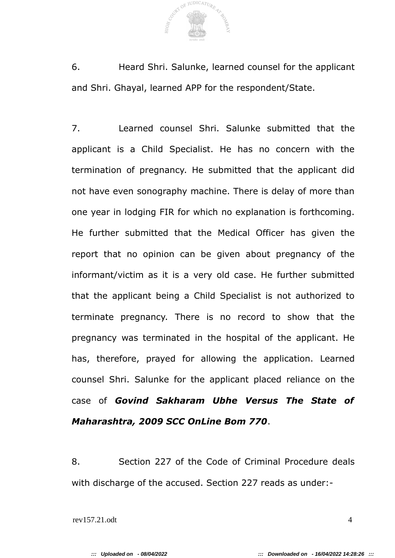

6. Heard Shri. Salunke, learned counsel for the applicant and Shri. Ghayal, learned APP for the respondent/State.

7. Learned counsel Shri. Salunke submitted that the applicant is a Child Specialist. He has no concern with the termination of pregnancy. He submitted that the applicant did not have even sonography machine. There is delay of more than one year in lodging FIR for which no explanation is forthcoming. He further submitted that the Medical Officer has given the report that no opinion can be given about pregnancy of the informant/victim as it is a very old case. He further submitted that the applicant being a Child Specialist is not authorized to terminate pregnancy. There is no record to show that the pregnancy was terminated in the hospital of the applicant. He has, therefore, prayed for allowing the application. Learned counsel Shri. Salunke for the applicant placed reliance on the case of *Govind Sakharam Ubhe Versus The State of Maharashtra, 2009 SCC OnLine Bom 770*.

8. Section 227 of the Code of Criminal Procedure deals with discharge of the accused. Section 227 reads as under:-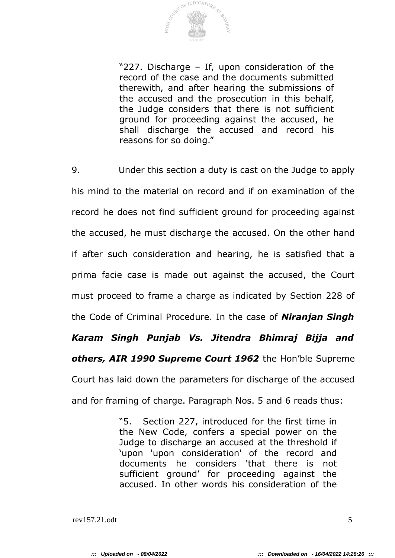

"227. Discharge – If, upon consideration of the record of the case and the documents submitted therewith, and after hearing the submissions of the accused and the prosecution in this behalf, the Judge considers that there is not sufficient ground for proceeding against the accused, he shall discharge the accused and record his reasons for so doing."

9. Under this section a duty is cast on the Judge to apply his mind to the material on record and if on examination of the record he does not find sufficient ground for proceeding against the accused, he must discharge the accused. On the other hand if after such consideration and hearing, he is satisfied that a prima facie case is made out against the accused, the Court must proceed to frame a charge as indicated by Section 228 of the Code of Criminal Procedure. In the case of *Niranjan Singh Karam Singh Punjab Vs. Jitendra Bhimraj Bijja and others, AIR 1990 Supreme Court 1962* the Hon'ble Supreme Court has laid down the parameters for discharge of the accused and for framing of charge. Paragraph Nos. 5 and 6 reads thus:

> "5. Section 227, introduced for the first time in the New Code, confers a special power on the Judge to discharge an accused at the threshold if 'upon 'upon consideration' of the record and documents he considers 'that there is not sufficient ground' for proceeding against the accused. In other words his consideration of the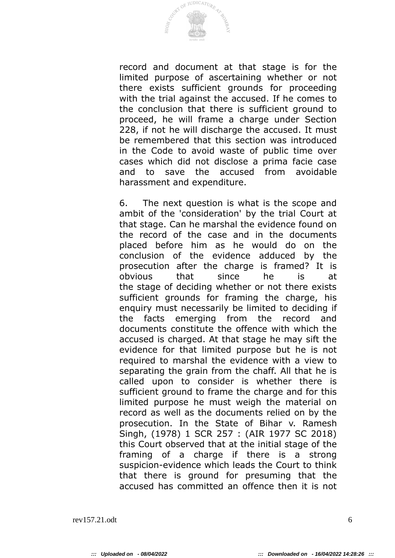

record and document at that stage is for the limited purpose of ascertaining whether or not there exists sufficient grounds for proceeding with the trial against the accused. If he comes to the conclusion that there is sufficient ground to proceed, he will frame a charge under Section 228, if not he will discharge the accused. It must be remembered that this section was introduced in the Code to avoid waste of public time over cases which did not disclose a prima facie case and to save the accused from avoidable harassment and expenditure.

6. The next question is what is the scope and ambit of the 'consideration' by the trial Court at that stage. Can he marshal the evidence found on the record of the case and in the documents placed before him as he would do on the conclusion of the evidence adduced by the prosecution after the charge is framed? It is obvious that since he is at the stage of deciding whether or not there exists sufficient grounds for framing the charge, his enquiry must necessarily be limited to deciding if the facts emerging from the record and documents constitute the offence with which the accused is charged. At that stage he may sift the evidence for that limited purpose but he is not required to marshal the evidence with a view to separating the grain from the chaff. All that he is called upon to consider is whether there is sufficient ground to frame the charge and for this limited purpose he must weigh the material on record as well as the documents relied on by the prosecution. In the State of Bihar v. Ramesh Singh, (1978) 1 SCR 257 : (AIR 1977 SC 2018) this Court observed that at the initial stage of the framing of a charge if there is a strong suspicion-evidence which leads the Court to think that there is ground for presuming that the accused has committed an offence then it is not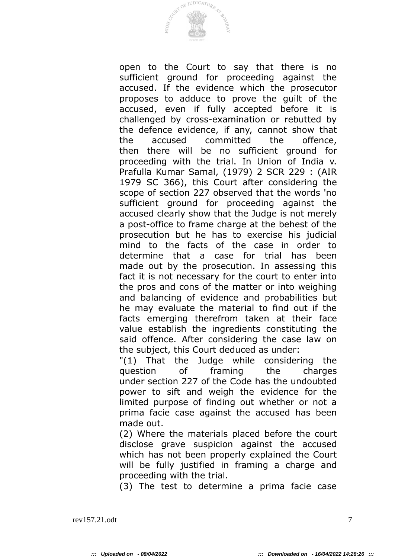

open to the Court to say that there is no sufficient ground for proceeding against the accused. If the evidence which the prosecutor proposes to adduce to prove the guilt of the accused, even if fully accepted before it is challenged by cross-examination or rebutted by the defence evidence, if any, cannot show that the accused committed the offence, then there will be no sufficient ground for proceeding with the trial. In Union of India v. Prafulla Kumar Samal, (1979) 2 SCR 229 : (AIR 1979 SC 366), this Court after considering the scope of section 227 observed that the words 'no sufficient ground for proceeding against the accused clearly show that the Judge is not merely a post-office to frame charge at the behest of the prosecution but he has to exercise his judicial mind to the facts of the case in order to determine that a case for trial has been made out by the prosecution. In assessing this fact it is not necessary for the court to enter into the pros and cons of the matter or into weighing and balancing of evidence and probabilities but he may evaluate the material to find out if the facts emerging therefrom taken at their face value establish the ingredients constituting the said offence. After considering the case law on the subject, this Court deduced as under:

"(1) That the Judge while considering the question of framing the charges under section 227 of the Code has the undoubted power to sift and weigh the evidence for the limited purpose of finding out whether or not a prima facie case against the accused has been made out.

(2) Where the materials placed before the court disclose grave suspicion against the accused which has not been properly explained the Court will be fully justified in framing a charge and proceeding with the trial.

(3) The test to determine a prima facie case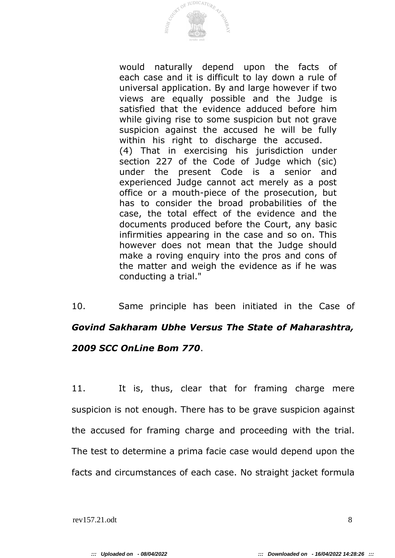

would naturally depend upon the facts of each case and it is difficult to lay down a rule of universal application. By and large however if two views are equally possible and the Judge is satisfied that the evidence adduced before him while giving rise to some suspicion but not grave suspicion against the accused he will be fully within his right to discharge the accused. (4) That in exercising his jurisdiction under section 227 of the Code of Judge which (sic) under the present Code is a senior and experienced Judge cannot act merely as a post office or a mouth-piece of the prosecution, but has to consider the broad probabilities of the case, the total effect of the evidence and the documents produced before the Court, any basic infirmities appearing in the case and so on. This however does not mean that the Judge should make a roving enquiry into the pros and cons of the matter and weigh the evidence as if he was conducting a trial."

10. Same principle has been initiated in the Case of *Govind Sakharam Ubhe Versus The State of Maharashtra, 2009 SCC OnLine Bom 770*.

11. It is, thus, clear that for framing charge mere suspicion is not enough. There has to be grave suspicion against the accused for framing charge and proceeding with the trial. The test to determine a prima facie case would depend upon the facts and circumstances of each case. No straight jacket formula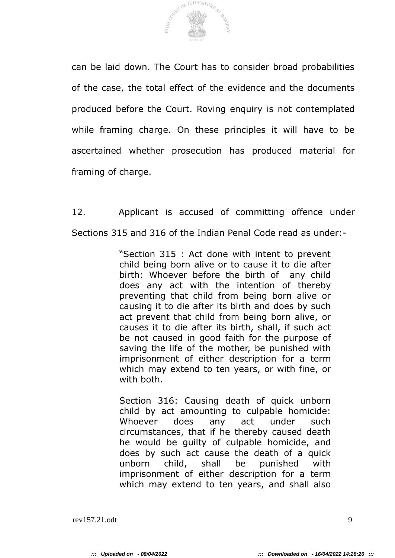

can be laid down. The Court has to consider broad probabilities of the case, the total effect of the evidence and the documents produced before the Court. Roving enquiry is not contemplated while framing charge. On these principles it will have to be ascertained whether prosecution has produced material for framing of charge.

12. Applicant is accused of committing offence under Sections 315 and 316 of the Indian Penal Code read as under:-

> "Section 315 : Act done with intent to prevent child being born alive or to cause it to die after birth: Whoever before the birth of any child does any act with the intention of thereby preventing that child from being born alive or causing it to die after its birth and does by such act prevent that child from being born alive, or causes it to die after its birth, shall, if such act be not caused in good faith for the purpose of saving the life of the mother, be punished with imprisonment of either description for a term which may extend to ten years, or with fine, or with both.

> Section 316: Causing death of quick unborn child by act amounting to culpable homicide: Whoever does any act under such circumstances, that if he thereby caused death he would be guilty of culpable homicide, and does by such act cause the death of a quick unborn child, shall be punished with imprisonment of either description for a term which may extend to ten years, and shall also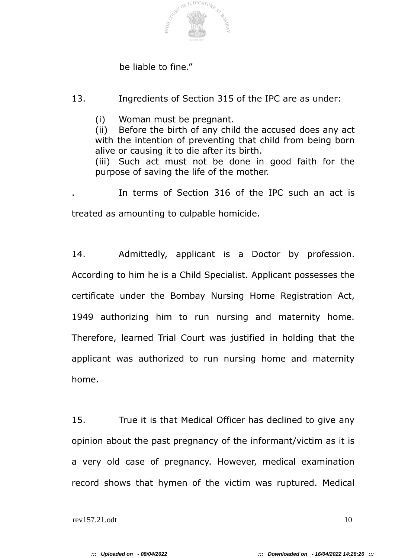

### be liable to fine."

13. Ingredients of Section 315 of the IPC are as under:

(i) Woman must be pregnant.

(ii) Before the birth of any child the accused does any act with the intention of preventing that child from being born alive or causing it to die after its birth.

(iii) Such act must not be done in good faith for the purpose of saving the life of the mother.

. In terms of Section 316 of the IPC such an act is treated as amounting to culpable homicide.

14. Admittedly, applicant is a Doctor by profession. According to him he is a Child Specialist. Applicant possesses the certificate under the Bombay Nursing Home Registration Act, 1949 authorizing him to run nursing and maternity home. Therefore, learned Trial Court was justified in holding that the applicant was authorized to run nursing home and maternity home.

15. True it is that Medical Officer has declined to give any opinion about the past pregnancy of the informant/victim as it is a very old case of pregnancy. However, medical examination record shows that hymen of the victim was ruptured. Medical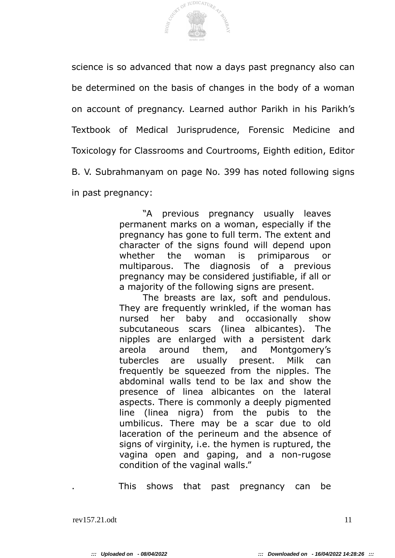

science is so advanced that now a days past pregnancy also can be determined on the basis of changes in the body of a woman on account of pregnancy. Learned author Parikh in his Parikh's Textbook of Medical Jurisprudence, Forensic Medicine and Toxicology for Classrooms and Courtrooms, Eighth edition, Editor B. V. Subrahmanyam on page No. 399 has noted following signs in past pregnancy:

> "A previous pregnancy usually leaves permanent marks on a woman, especially if the pregnancy has gone to full term. The extent and character of the signs found will depend upon whether the woman is primiparous or multiparous. The diagnosis of a previous pregnancy may be considered justifiable, if all or a majority of the following signs are present.

> The breasts are lax, soft and pendulous. They are frequently wrinkled, if the woman has nursed her baby and occasionally show subcutaneous scars (linea albicantes). The nipples are enlarged with a persistent dark areola around them, and Montgomery's tubercles are usually present. Milk can frequently be squeezed from the nipples. The abdominal walls tend to be lax and show the presence of linea albicantes on the lateral aspects. There is commonly a deeply pigmented line (linea nigra) from the pubis to the umbilicus. There may be a scar due to old laceration of the perineum and the absence of signs of virginity, i.e. the hymen is ruptured, the vagina open and gaping, and a non-rugose condition of the vaginal walls."

. This shows that past pregnancy can be